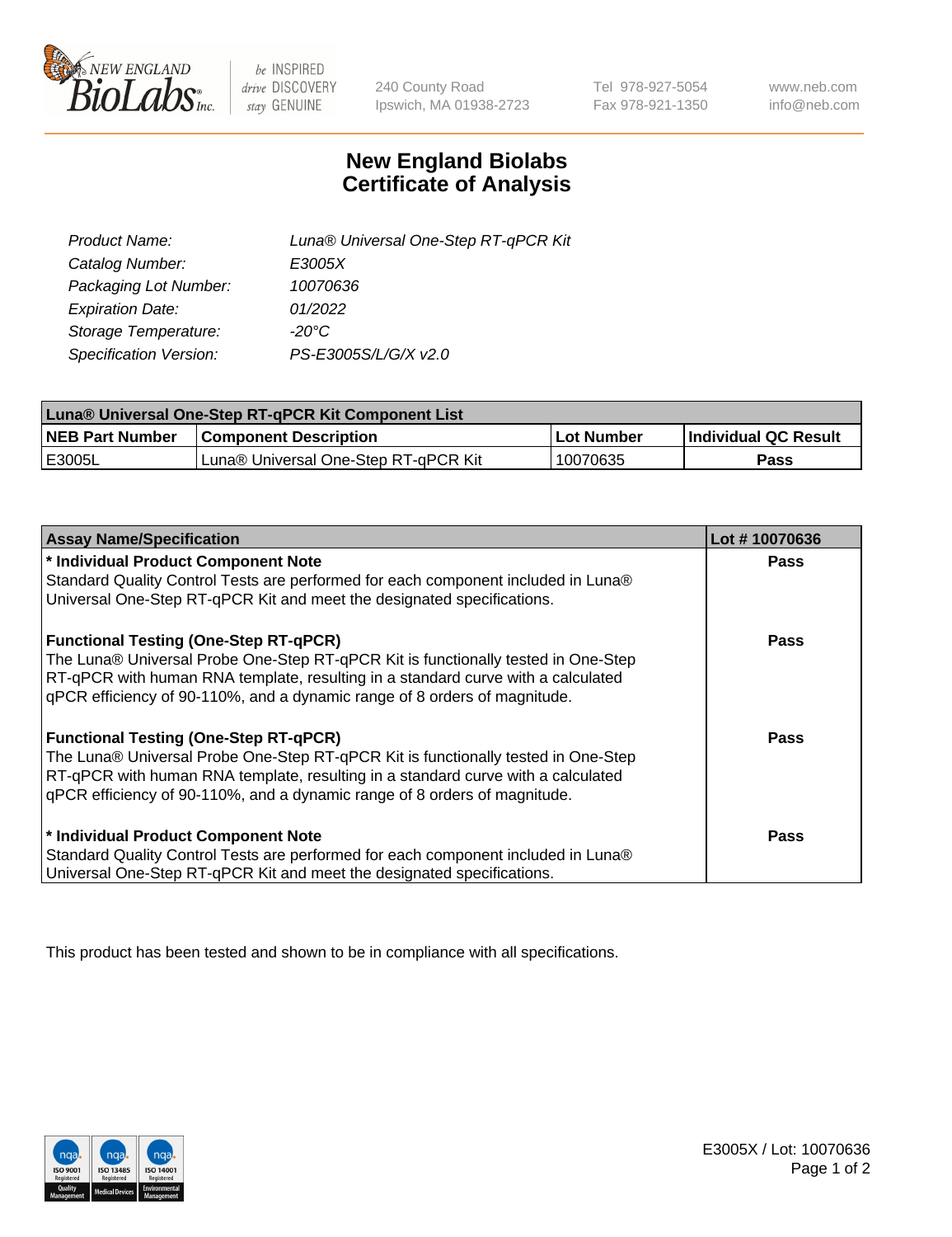

 $be$  INSPIRED drive DISCOVERY stay GENUINE

240 County Road Ipswich, MA 01938-2723 Tel 978-927-5054 Fax 978-921-1350 www.neb.com info@neb.com

## **New England Biolabs Certificate of Analysis**

| Product Name:           | Luna® Universal One-Step RT-qPCR Kit |
|-------------------------|--------------------------------------|
| Catalog Number:         | E3005X                               |
| Packaging Lot Number:   | 10070636                             |
| <b>Expiration Date:</b> | 01/2022                              |
| Storage Temperature:    | $-20^{\circ}$ C                      |
| Specification Version:  | PS-E3005S/L/G/X v2.0                 |

| Luna® Universal One-Step RT-qPCR Kit Component List |                                      |            |                      |  |
|-----------------------------------------------------|--------------------------------------|------------|----------------------|--|
| <b>NEB Part Number</b>                              | <b>Component Description</b>         | Lot Number | Individual QC Result |  |
| <b>IE3005L</b>                                      | Luna® Universal One-Step RT-qPCR Kit | 10070635   | <b>Pass</b>          |  |

| <b>Assay Name/Specification</b>                                                   | Lot #10070636 |
|-----------------------------------------------------------------------------------|---------------|
| * Individual Product Component Note                                               | <b>Pass</b>   |
| Standard Quality Control Tests are performed for each component included in Luna® |               |
| Universal One-Step RT-qPCR Kit and meet the designated specifications.            |               |
| <b>Functional Testing (One-Step RT-qPCR)</b>                                      | <b>Pass</b>   |
| The Luna® Universal Probe One-Step RT-qPCR Kit is functionally tested in One-Step |               |
| RT-qPCR with human RNA template, resulting in a standard curve with a calculated  |               |
| qPCR efficiency of 90-110%, and a dynamic range of 8 orders of magnitude.         |               |
| <b>Functional Testing (One-Step RT-qPCR)</b>                                      | Pass          |
| The Luna® Universal Probe One-Step RT-qPCR Kit is functionally tested in One-Step |               |
| RT-qPCR with human RNA template, resulting in a standard curve with a calculated  |               |
| gPCR efficiency of 90-110%, and a dynamic range of 8 orders of magnitude.         |               |
| * Individual Product Component Note                                               | Pass          |
| Standard Quality Control Tests are performed for each component included in Luna® |               |
| Universal One-Step RT-qPCR Kit and meet the designated specifications.            |               |

This product has been tested and shown to be in compliance with all specifications.